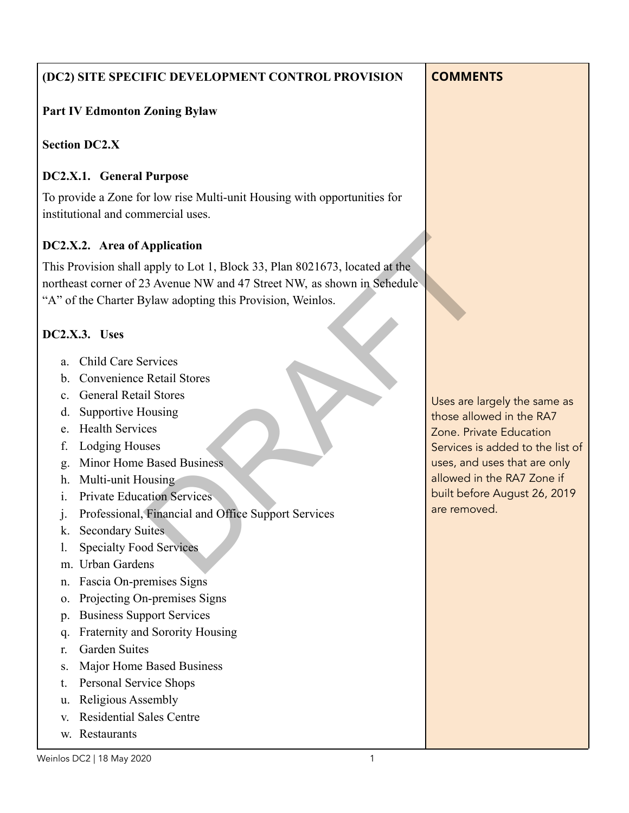## **(DC2) SITE SPECIFIC DEVELOPMENT CONTROL PROVISION**

## **Part IV Edmonton Zoning Bylaw**

#### **Section DC2.X**

#### **DC2.X.1. General Purpose**

To provide a Zone for low rise Multi-unit Housing with opportunities for institutional and commercial uses.

## **DC2.X.2. Area of Application**

This Provision shall apply to Lot 1, Block 33, Plan 8021673, located at the northeast corner of 23 Avenue NW and 47 Street NW, as shown in Schedule "A" of the Charter Bylaw adopting this Provision, Weinlos. **Application**<br>
apply to Lot 1, Block 33, Plan 8021673, located at the<br>
33 Avenue NW and 47 Street NW, as shown in Sehedule<br>
ylaw adopting this Provision, Weinlos.<br>
ervices<br>
Retail Stores<br>
El Stores<br>
Il Stores<br>
Il Stores<br>
I

## **DC2.X.3. Uses**

- a. Child Care Services
- b. Convenience Retail Stores
- c. General Retail Stores
- d. Supportive Housing
- e. Health Services
- f. Lodging Houses
- g. Minor Home Based Business
- h. Multi-unit Housing
- i. Private Education Services
- j. Professional, Financial and Office Support Services
- k. Secondary Suites
- l. Specialty Food Services
- m. Urban Gardens
- n. Fascia On-premises Signs
- o. Projecting On-premises Signs
- p. Business Support Services
- q. Fraternity and Sorority Housing
- r. Garden Suites
- s. Major Home Based Business
- t. Personal Service Shops
- u. Religious Assembly
- v. Residential Sales Centre
- w. Restaurants

Uses are largely the same as those allowed in the RA7 Zone. Private Education Services is added to the list of uses, and uses that are only allowed in the RA7 Zone if built before August 26, 2019 are removed.

# **COMMENTS**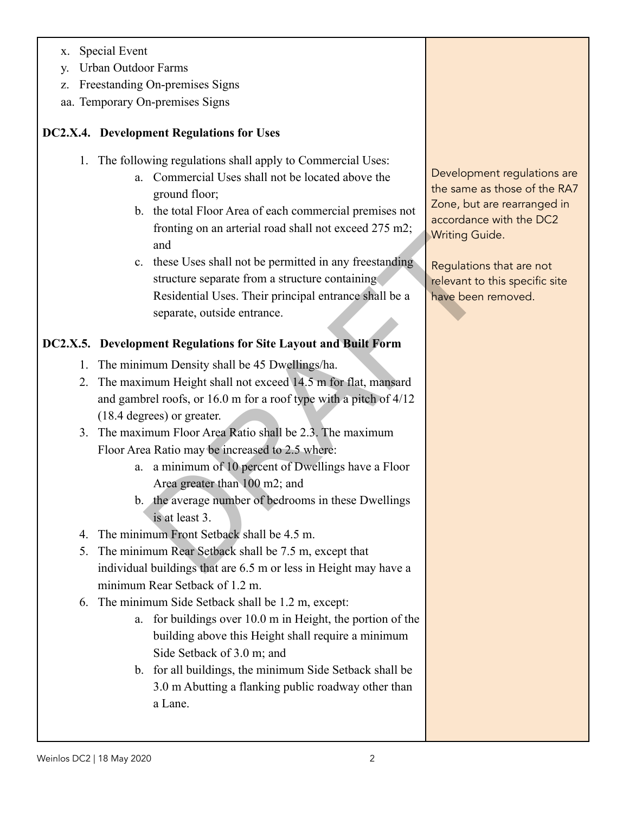- x. Special Event
- y. Urban Outdoor Farms
- z. Freestanding On-premises Signs
- aa. Temporary On-premises Signs

## **DC2.X.4. Development Regulations for Uses**

- 1. The following regulations shall apply to Commercial Uses:
	- a. Commercial Uses shall not be located above the ground floor;
	- b. the total Floor Area of each commercial premises not fronting on an arterial road shall not exceed 275 m2; and
	- c. these Uses shall not be permitted in any freestanding structure separate from a structure containing Residential Uses. Their principal entrance shall be a separate, outside entrance. whiting Guidentum and<br>
	and<br>
	and<br>
	these Uses shall not be permitted in any freestanding<br>
	free Uses shall not be permitted in any freestanding<br>
	relevant to<br>
	Residential Uses. Their principal entrance shall be a<br>
	separate, ou

# **DC2.X.5. Development Regulations for Site Layout and Built Form**

- 1. The minimum Density shall be 45 Dwellings/ha.
- 2. The maximum Height shall not exceed 14.5 m for flat, mansard and gambrel roofs, or 16.0 m for a roof type with a pitch of 4/12 (18.4 degrees) or greater.
- 3. The maximum Floor Area Ratio shall be 2.3. The maximum Floor Area Ratio may be increased to 2.5 where:
	- a. a minimum of 10 percent of Dwellings have a Floor Area greater than 100 m2; and
	- b. the average number of bedrooms in these Dwellings is at least 3.
- 4. The minimum Front Setback shall be 4.5 m.
- 5. The minimum Rear Setback shall be 7.5 m, except that individual buildings that are 6.5 m or less in Height may have a minimum Rear Setback of 1.2 m.
- 6. The minimum Side Setback shall be 1.2 m, except:
	- a. for buildings over 10.0 m in Height, the portion of the building above this Height shall require a minimum Side Setback of 3.0 m; and
	- b. for all buildings, the minimum Side Setback shall be 3.0 m Abutting a flanking public roadway other than a Lane.

Development regulations are the same as those of the RA7 Zone, but are rearranged in accordance with the DC2 Writing Guide.

Regulations that are not relevant to this specific site have been removed.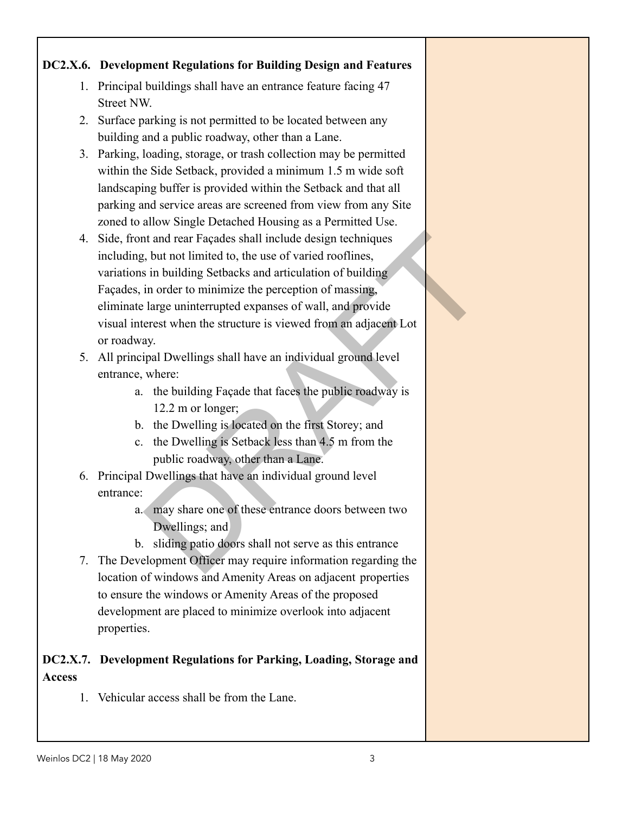## **DC2.X.6. Development Regulations for Building Design and Features**

- 1. Principal buildings shall have an entrance feature facing 47 Street NW.
- 2. Surface parking is not permitted to be located between any building and a public roadway, other than a Lane.
- 3. Parking, loading, storage, or trash collection may be permitted within the Side Setback, provided a minimum 1.5 m wide soft landscaping buffer is provided within the Setback and that all parking and service areas are screened from view from any Site zoned to allow Single Detached Housing as a Permitted Use.
- 4. Side, front and rear Façades shall include design techniques including, but not limited to, the use of varied rooflines, variations in building Setbacks and articulation of building Façades, in order to minimize the perception of massing, eliminate large uninterrupted expanses of wall, and provide visual interest when the structure is viewed from an adjacent Lot or roadway. It and rear Façades shall include design techniques<br>
1, but not limited to, the use of varied rooflines,<br>
is in building Setbacks and articulation of building<br>
in order to minimize the perception of massing,<br>
large uninter
- 5. All principal Dwellings shall have an individual ground level entrance, where:
	- a. the building Façade that faces the public roadway is 12.2 m or longer;
	- b. the Dwelling is located on the first Storey; and
	- c. the Dwelling is Setback less than 4.5 m from the public roadway, other than a Lane.
- 6. Principal Dwellings that have an individual ground level entrance:
	- a. may share one of these entrance doors between two Dwellings; and
	- b. sliding patio doors shall not serve as this entrance
- 7. The Development Officer may require information regarding the location of windows and Amenity Areas on adjacent properties to ensure the windows or Amenity Areas of the proposed development are placed to minimize overlook into adjacent properties.

## **DC2.X.7. Development Regulations for Parking, Loading, Storage and Access**

1. Vehicular access shall be from the Lane.